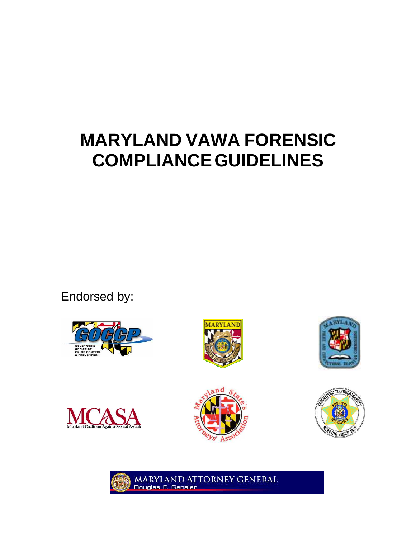# **MARYLAND VAWA FORENSIC COMPLIANCE GUIDELINES**

Endorsed by:













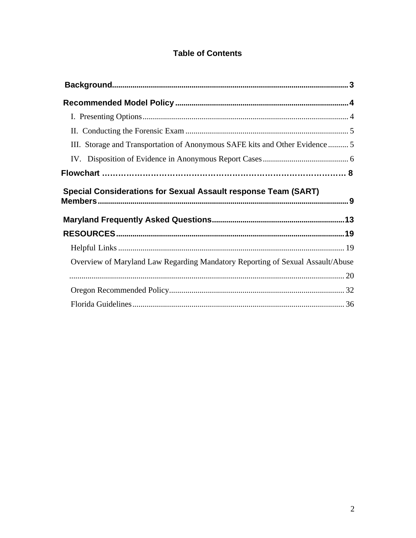# **Table of Contents**

| III. Storage and Transportation of Anonymous SAFE kits and Other Evidence  5   |  |
|--------------------------------------------------------------------------------|--|
|                                                                                |  |
|                                                                                |  |
|                                                                                |  |
| <b>Special Considerations for Sexual Assault response Team (SART)</b>          |  |
|                                                                                |  |
|                                                                                |  |
|                                                                                |  |
| Overview of Maryland Law Regarding Mandatory Reporting of Sexual Assault/Abuse |  |
|                                                                                |  |
|                                                                                |  |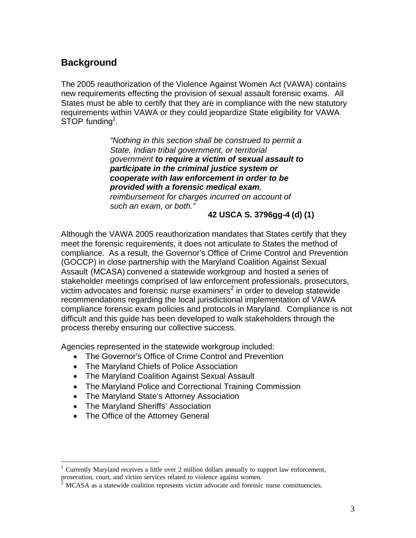# <span id="page-2-0"></span>**Background**

The 2005 reauthorization of the Violence Against Women Act (VAWA) contains new requirements effecting the provision of sexual assault forensic exams. All States must be able to certify that they are in compliance with the new statutory requirements within VAWA or they could jeopardize State eligibility for VAWA STOP funding<sup>1</sup>.

> *"Nothing in this section shall be construed to permit a State, Indian tribal government, or territorial government to require a victim of sexual assault to participate in the criminal justice system or cooperate with law enforcement in order to be provided with a forensic medical exam, reimbursement for charges incurred on account of such an exam, or both."*

**42 USCA S. 3796gg-4 (d) (1)** 

Although the VAWA 2005 reauthorization mandates that States certify that they meet the forensic requirements, it does not articulate to States the method of compliance. As a result, the Governor's Office of Crime Control and Prevention (GOCCP) in close partnership with the Maryland Coalition Against Sexual Assault (MCASA) convened a statewide workgroup and hosted a series of stakeholder meetings comprised of law enforcement professionals, prosecutors, victim advocates and forensic nurse examiners<sup>2</sup> in order to develop statewide recommendations regarding the local jurisdictional implementation of VAWA compliance forensic exam policies and protocols in Maryland. Compliance is not difficult and this guide has been developed to walk stakeholders through the process thereby ensuring our collective success.

Agencies represented in the statewide workgroup included:

- The Governor's Office of Crime Control and Prevention
- · The Maryland Chiefs of Police Association
- · The Maryland Coalition Against Sexual Assault
- · The Maryland Police and Correctional Training Commission
- The Maryland State's Attorney Association
- · The Maryland Sheriffs' Association
- The Office of the Attorney General

<sup>1</sup> Currently Maryland receives a little over 2 million dollars annually to support law enforcement, prosecution, court, and victim services related to violence against women.

 $2$  MCASA as a statewide coalition represents victim advocate and forensic nurse constituencies.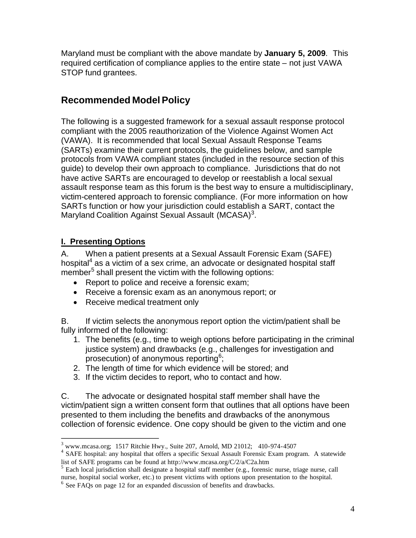<span id="page-3-0"></span>Maryland must be compliant with the above mandate by **January 5, 2009**. This required certification of compliance applies to the entire state – not just VAWA STOP fund grantees.

# **Recommended Model Policy**

The following is a suggested framework for a sexual assault response protocol compliant with the 2005 reauthorization of the Violence Against Women Act (VAWA). It is recommended that local Sexual Assault Response Teams (SARTs) examine their current protocols, the guidelines below, and sample protocols from VAWA compliant states (included in the resource section of this guide) to develop their own approach to compliance. Jurisdictions that do not have active SARTs are encouraged to develop or reestablish a local sexual assault response team as this forum is the best way to ensure a multidisciplinary, victim-centered approach to forensic compliance. (For more information on how SARTs function or how your jurisdiction could establish a SART, contact the Maryland Coalition Against Sexual Assault (MCASA)<sup>3</sup>.

## **I. Presenting Options**

A. When a patient presents at a Sexual Assault Forensic Exam (SAFE) hospital<sup>4</sup> as a victim of a sex crime, an advocate or designated hospital staff member<sup>5</sup> shall present the victim with the following options:

- · Report to police and receive a forensic exam;
- · Receive a forensic exam as an anonymous report; or
- · Receive medical treatment only

B. If victim selects the anonymous report option the victim/patient shall be fully informed of the following:

- 1. The benefits (e.g., time to weigh options before participating in the criminal justice system) and drawbacks (e.g., challenges for investigation and prosecution) of anonymous reporting<sup>6</sup>;
- 2. The length of time for which evidence will be stored; and
- 3. If the victim decides to report, who to contact and how.

C. The advocate or designated hospital staff member shall have the victim/patient sign a written consent form that outlines that all options have been presented to them including the benefits and drawbacks of the anonymous collection of forensic evidence. One copy should be given to the victim and one

<sup>&</sup>lt;sup>3</sup> www.mcasa.org; 1517 Ritchie Hwy., Suite 207, Arnold, MD 21012; 410-974-4507

<sup>4</sup> SAFE hospital: any hospital that offers a specific Sexual Assault Forensic Exam program. A statewide list of SAFE programs can be found at http://www.mcasa.org/C/2/a/C2a.htm

<sup>&</sup>lt;sup>5</sup> Each local jurisdiction shall designate a hospital staff member (e.g., forensic nurse, triage nurse, call nurse, hospital social worker, etc.) to present victims with options upon presentation to the hospital.

<sup>&</sup>lt;sup>6</sup> See FAQs on page 12 for an expanded discussion of benefits and drawbacks.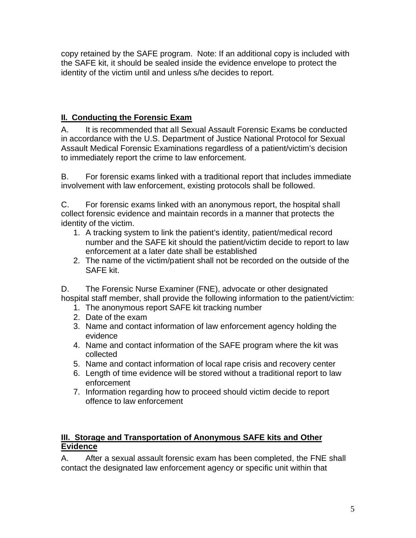<span id="page-4-0"></span>copy retained by the SAFE program. Note: If an additional copy is included with the SAFE kit, it should be sealed inside the evidence envelope to protect the identity of the victim until and unless s/he decides to report.

## **II. Conducting the Forensic Exam**

A. It is recommended that all Sexual Assault Forensic Exams be conducted in accordance with the U.S. Department of Justice National Protocol for Sexual Assault Medical Forensic Examinations regardless of a patient/victim's decision to immediately report the crime to law enforcement.

B. For forensic exams linked with a traditional report that includes immediate involvement with law enforcement, existing protocols shall be followed.

C. For forensic exams linked with an anonymous report, the hospital shall collect forensic evidence and maintain records in a manner that protects the identity of the victim.

- 1. A tracking system to link the patient's identity, patient/medical record number and the SAFE kit should the patient/victim decide to report to law enforcement at a later date shall be established
- 2. The name of the victim/patient shall not be recorded on the outside of the SAFE kit.

D. The Forensic Nurse Examiner (FNE), advocate or other designated hospital staff member, shall provide the following information to the patient/victim:

- 1. The anonymous report SAFE kit tracking number
- 2. Date of the exam
- 3. Name and contact information of law enforcement agency holding the evidence
- 4. Name and contact information of the SAFE program where the kit was collected
- 5. Name and contact information of local rape crisis and recovery center
- 6. Length of time evidence will be stored without a traditional report to law enforcement
- 7. Information regarding how to proceed should victim decide to report offence to law enforcement

## **III. Storage and Transportation of Anonymous SAFE kits and Other Evidence**

A. After a sexual assault forensic exam has been completed, the FNE shall contact the designated law enforcement agency or specific unit within that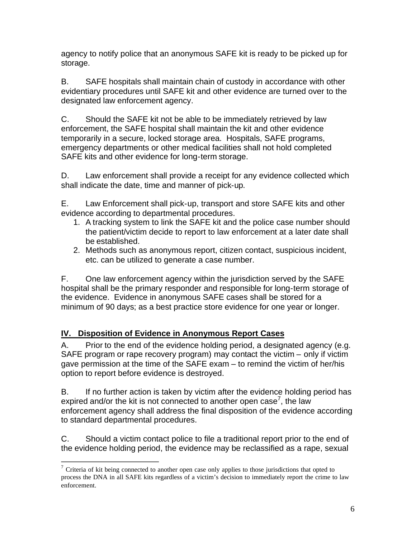<span id="page-5-0"></span>agency to notify police that an anonymous SAFE kit is ready to be picked up for storage.

B. SAFE hospitals shall maintain chain of custody in accordance with other evidentiary procedures until SAFE kit and other evidence are turned over to the designated law enforcement agency.

C. Should the SAFE kit not be able to be immediately retrieved by law enforcement, the SAFE hospital shall maintain the kit and other evidence temporarily in a secure, locked storage area. Hospitals, SAFE programs, emergency departments or other medical facilities shall not hold completed SAFE kits and other evidence for long-term storage.

D. Law enforcement shall provide a receipt for any evidence collected which shall indicate the date, time and manner of pick-up.

E. Law Enforcement shall pick-up, transport and store SAFE kits and other evidence according to departmental procedures.

- 1. A tracking system to link the SAFE kit and the police case number should the patient/victim decide to report to law enforcement at a later date shall be established.
- 2. Methods such as anonymous report, citizen contact, suspicious incident, etc. can be utilized to generate a case number.

F. One law enforcement agency within the jurisdiction served by the SAFE hospital shall be the primary responder and responsible for long-term storage of the evidence. Evidence in anonymous SAFE cases shall be stored for a minimum of 90 days; as a best practice store evidence for one year or longer.

# **IV. Disposition of Evidence in Anonymous Report Cases**

A. Prior to the end of the evidence holding period, a designated agency (e.g. SAFE program or rape recovery program) may contact the victim – only if victim gave permission at the time of the SAFE exam – to remind the victim of her/his option to report before evidence is destroyed.

B. If no further action is taken by victim after the evidence holding period has expired and/or the kit is not connected to another open case<sup>7</sup>, the law enforcement agency shall address the final disposition of the evidence according to standard departmental procedures.

C. Should a victim contact police to file a traditional report prior to the end of the evidence holding period, the evidence may be reclassified as a rape, sexual

 $7$  Criteria of kit being connected to another open case only applies to those jurisdictions that opted to process the DNA in all SAFE kits regardless of a victim's decision to immediately report the crime to law enforcement.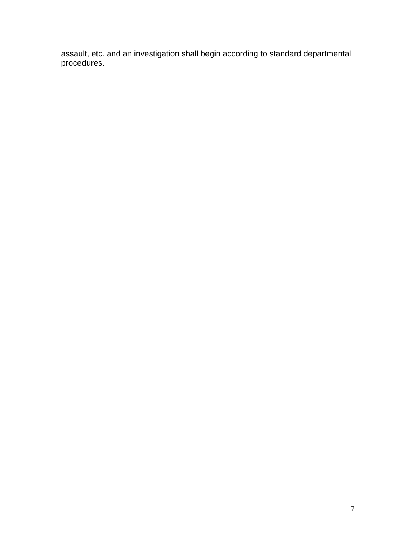assault, etc. and an investigation shall begin according to standard departmental procedures.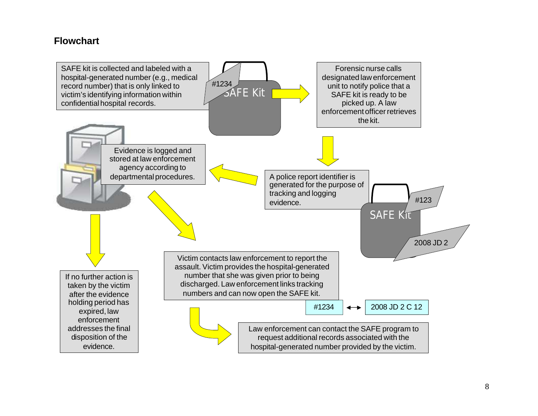# **Flowchart**

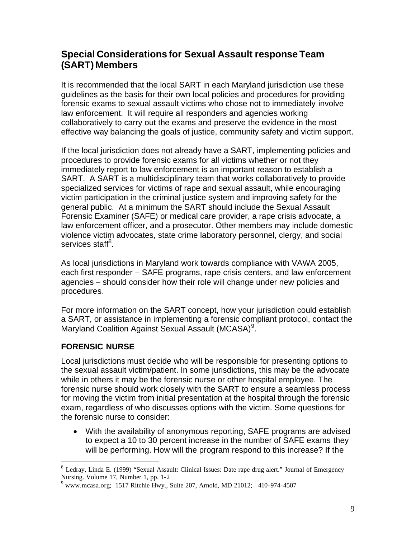# <span id="page-8-0"></span>**Special Considerations for Sexual Assault response Team (SART) Members**

It is recommended that the local SART in each Maryland jurisdiction use these guidelines as the basis for their own local policies and procedures for providing forensic exams to sexual assault victims who chose not to immediately involve law enforcement. It will require all responders and agencies working collaboratively to carry out the exams and preserve the evidence in the most effective way balancing the goals of justice, community safety and victim support.

If the local jurisdiction does not already have a SART, implementing policies and procedures to provide forensic exams for all victims whether or not they immediately report to law enforcement is an important reason to establish a SART. A SART is a multidisciplinary team that works collaboratively to provide specialized services for victims of rape and sexual assault, while encouraging victim participation in the criminal justice system and improving safety for the general public. At a minimum the SART should include the Sexual Assault Forensic Examiner (SAFE) or medical care provider, a rape crisis advocate, a law enforcement officer, and a prosecutor. Other members may include domestic violence victim advocates, state crime laboratory personnel, clergy, and social services staff<sup>8</sup>.

As local jurisdictions in Maryland work towards compliance with VAWA 2005, each first responder – SAFE programs, rape crisis centers, and law enforcement agencies – should consider how their role will change under new policies and procedures.

For more information on the SART concept, how your jurisdiction could establish a SART, or assistance in implementing a forensic compliant protocol, contact the Maryland Coalition Against Sexual Assault (MCASA)<sup>9</sup>.

## **FORENSIC NURSE**

Local jurisdictions must decide who will be responsible for presenting options to the sexual assault victim/patient. In some jurisdictions, this may be the advocate while in others it may be the forensic nurse or other hospital employee. The forensic nurse should work closely with the SART to ensure a seamless process for moving the victim from initial presentation at the hospital through the forensic exam, regardless of who discusses options with the victim. Some questions for the forensic nurse to consider:

· With the availability of anonymous reporting, SAFE programs are advised to expect a 10 to 30 percent increase in the number of SAFE exams they will be performing. How will the program respond to this increase? If the

<sup>&</sup>lt;sup>8</sup> Ledray, Linda E. (1999) "Sexual Assault: Clinical Issues: Date rape drug alert." Journal of Emergency Nursing. Volume 17, Number 1, pp. 1-2

<sup>&</sup>lt;sup>9</sup> www.mcasa.org; 1517 Ritchie Hwy., Suite 207, Arnold, MD 21012; 410-974-4507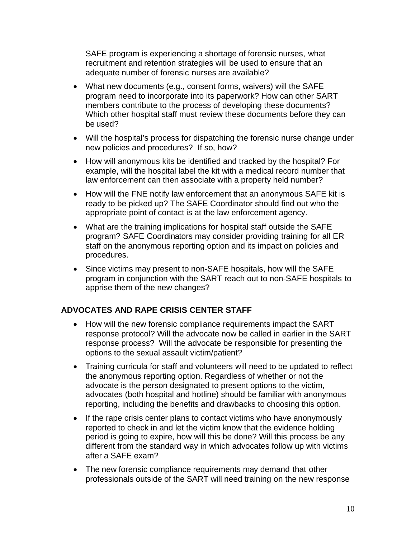SAFE program is experiencing a shortage of forensic nurses, what recruitment and retention strategies will be used to ensure that an adequate number of forensic nurses are available?

- · What new documents (e.g., consent forms, waivers) will the SAFE program need to incorporate into its paperwork? How can other SART members contribute to the process of developing these documents? Which other hospital staff must review these documents before they can be used?
- · Will the hospital's process for dispatching the forensic nurse change under new policies and procedures? If so, how?
- · How will anonymous kits be identified and tracked by the hospital? For example, will the hospital label the kit with a medical record number that law enforcement can then associate with a property held number?
- How will the FNE notify law enforcement that an anonymous SAFE kit is ready to be picked up? The SAFE Coordinator should find out who the appropriate point of contact is at the law enforcement agency.
- · What are the training implications for hospital staff outside the SAFE program? SAFE Coordinators may consider providing training for all ER staff on the anonymous reporting option and its impact on policies and procedures.
- · Since victims may present to non-SAFE hospitals, how will the SAFE program in conjunction with the SART reach out to non-SAFE hospitals to apprise them of the new changes?

## **ADVOCATES AND RAPE CRISIS CENTER STAFF**

- · How will the new forensic compliance requirements impact the SART response protocol? Will the advocate now be called in earlier in the SART response process? Will the advocate be responsible for presenting the options to the sexual assault victim/patient?
- · Training curricula for staff and volunteers will need to be updated to reflect the anonymous reporting option. Regardless of whether or not the advocate is the person designated to present options to the victim, advocates (both hospital and hotline) should be familiar with anonymous reporting, including the benefits and drawbacks to choosing this option.
- If the rape crisis center plans to contact victims who have anonymously reported to check in and let the victim know that the evidence holding period is going to expire, how will this be done? Will this process be any different from the standard way in which advocates follow up with victims after a SAFE exam?
- · The new forensic compliance requirements may demand that other professionals outside of the SART will need training on the new response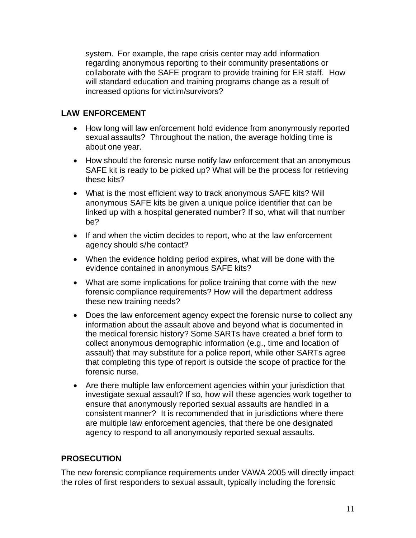system. For example, the rape crisis center may add information regarding anonymous reporting to their community presentations or collaborate with the SAFE program to provide training for ER staff. How will standard education and training programs change as a result of increased options for victim/survivors?

## **LAW ENFORCEMENT**

- · How long will law enforcement hold evidence from anonymously reported sexual assaults? Throughout the nation, the average holding time is about one year.
- · How should the forensic nurse notify law enforcement that an anonymous SAFE kit is ready to be picked up? What will be the process for retrieving these kits?
- · What is the most efficient way to track anonymous SAFE kits? Will anonymous SAFE kits be given a unique police identifier that can be linked up with a hospital generated number? If so, what will that number be?
- If and when the victim decides to report, who at the law enforcement agency should s/he contact?
- · When the evidence holding period expires, what will be done with the evidence contained in anonymous SAFE kits?
- · What are some implications for police training that come with the new forensic compliance requirements? How will the department address these new training needs?
- · Does the law enforcement agency expect the forensic nurse to collect any information about the assault above and beyond what is documented in the medical forensic history? Some SARTs have created a brief form to collect anonymous demographic information (e.g., time and location of assault) that may substitute for a police report, while other SARTs agree that completing this type of report is outside the scope of practice for the forensic nurse.
- · Are there multiple law enforcement agencies within your jurisdiction that investigate sexual assault? If so, how will these agencies work together to ensure that anonymously reported sexual assaults are handled in a consistent manner? It is recommended that in jurisdictions where there are multiple law enforcement agencies, that there be one designated agency to respond to all anonymously reported sexual assaults.

## **PROSECUTION**

The new forensic compliance requirements under VAWA 2005 will directly impact the roles of first responders to sexual assault, typically including the forensic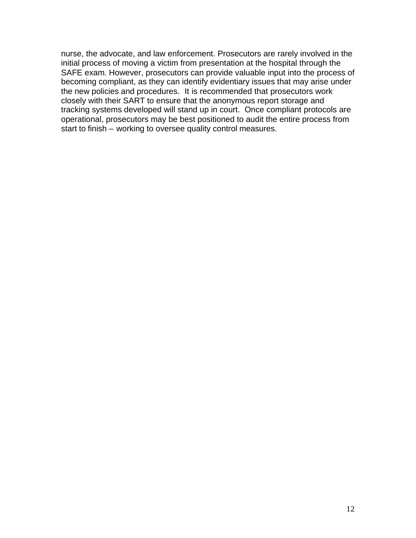nurse, the advocate, and law enforcement. Prosecutors are rarely involved in the initial process of moving a victim from presentation at the hospital through the SAFE exam. However, prosecutors can provide valuable input into the process of becoming compliant, as they can identify evidentiary issues that may arise under the new policies and procedures. It is recommended that prosecutors work closely with their SART to ensure that the anonymous report storage and tracking systems developed will stand up in court. Once compliant protocols are operational, prosecutors may be best positioned to audit the entire process from start to finish – working to oversee quality control measures.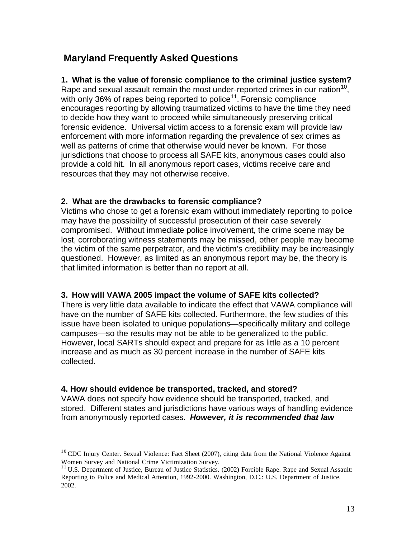# <span id="page-12-0"></span>**Maryland Frequently Asked Questions**

## **1. What is the value of forensic compliance to the criminal justice system?**

Rape and sexual assault remain the most under-reported crimes in our nation<sup>10</sup>, with only 36% of rapes being reported to police<sup>11</sup>. Forensic compliance encourages reporting by allowing traumatized victims to have the time they need to decide how they want to proceed while simultaneously preserving critical forensic evidence. Universal victim access to a forensic exam will provide law enforcement with more information regarding the prevalence of sex crimes as well as patterns of crime that otherwise would never be known. For those jurisdictions that choose to process all SAFE kits, anonymous cases could also provide a cold hit. In all anonymous report cases, victims receive care and resources that they may not otherwise receive.

## **2. What are the drawbacks to forensic compliance?**

Victims who chose to get a forensic exam without immediately reporting to police may have the possibility of successful prosecution of their case severely compromised. Without immediate police involvement, the crime scene may be lost, corroborating witness statements may be missed, other people may become the victim of the same perpetrator, and the victim's credibility may be increasingly questioned. However, as limited as an anonymous report may be, the theory is that limited information is better than no report at all.

## **3. How will VAWA 2005 impact the volume of SAFE kits collected?**

There is very little data available to indicate the effect that VAWA compliance will have on the number of SAFE kits collected. Furthermore, the few studies of this issue have been isolated to unique populations—specifically military and college campuses—so the results may not be able to be generalized to the public. However, local SARTs should expect and prepare for as little as a 10 percent increase and as much as 30 percent increase in the number of SAFE kits collected.

## **4. How should evidence be transported, tracked, and stored?**

VAWA does not specify how evidence should be transported, tracked, and stored. Different states and jurisdictions have various ways of handling evidence from anonymously reported cases. *However, it is recommended that law* 

<sup>&</sup>lt;sup>10</sup> CDC Injury Center. Sexual Violence: Fact Sheet (2007), citing data from the National Violence Against Women Survey and National Crime Victimization Survey.

<sup>&</sup>lt;sup>11</sup> U.S. Department of Justice, Bureau of Justice Statistics. (2002) Forcible Rape. Rape and Sexual Assault: Reporting to Police and Medical Attention, 1992-2000. Washington, D.C.: U.S. Department of Justice. 2002.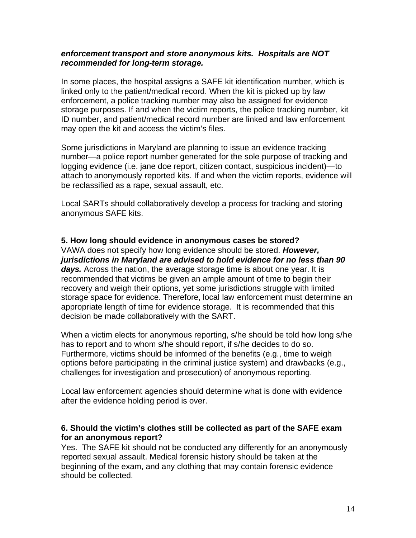#### *enforcement transport and store anonymous kits. Hospitals are NOT recommended for long-term storage.*

In some places, the hospital assigns a SAFE kit identification number, which is linked only to the patient/medical record. When the kit is picked up by law enforcement, a police tracking number may also be assigned for evidence storage purposes. If and when the victim reports, the police tracking number, kit ID number, and patient/medical record number are linked and law enforcement may open the kit and access the victim's files.

Some jurisdictions in Maryland are planning to issue an evidence tracking number—a police report number generated for the sole purpose of tracking and logging evidence (i.e. jane doe report, citizen contact, suspicious incident)—to attach to anonymously reported kits. If and when the victim reports, evidence will be reclassified as a rape, sexual assault, etc.

Local SARTs should collaboratively develop a process for tracking and storing anonymous SAFE kits.

#### **5. How long should evidence in anonymous cases be stored?**

VAWA does not specify how long evidence should be stored. *However, jurisdictions in Maryland are advised to hold evidence for no less than 90 days.* Across the nation, the average storage time is about one year. It is recommended that victims be given an ample amount of time to begin their recovery and weigh their options, yet some jurisdictions struggle with limited storage space for evidence. Therefore, local law enforcement must determine an appropriate length of time for evidence storage. It is recommended that this decision be made collaboratively with the SART.

When a victim elects for anonymous reporting, s/he should be told how long s/he has to report and to whom s/he should report, if s/he decides to do so. Furthermore, victims should be informed of the benefits (e.g., time to weigh options before participating in the criminal justice system) and drawbacks (e.g., challenges for investigation and prosecution) of anonymous reporting.

Local law enforcement agencies should determine what is done with evidence after the evidence holding period is over.

#### **6. Should the victim's clothes still be collected as part of the SAFE exam for an anonymous report?**

Yes. The SAFE kit should not be conducted any differently for an anonymously reported sexual assault. Medical forensic history should be taken at the beginning of the exam, and any clothing that may contain forensic evidence should be collected.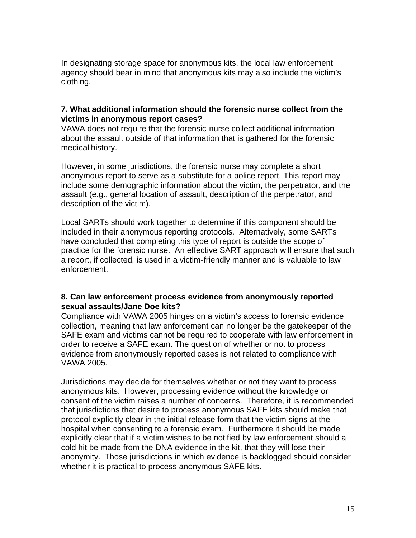In designating storage space for anonymous kits, the local law enforcement agency should bear in mind that anonymous kits may also include the victim's clothing.

## **7. What additional information should the forensic nurse collect from the victims in anonymous report cases?**

VAWA does not require that the forensic nurse collect additional information about the assault outside of that information that is gathered for the forensic medical history.

However, in some jurisdictions, the forensic nurse may complete a short anonymous report to serve as a substitute for a police report. This report may include some demographic information about the victim, the perpetrator, and the assault (e.g., general location of assault, description of the perpetrator, and description of the victim).

Local SARTs should work together to determine if this component should be included in their anonymous reporting protocols. Alternatively, some SARTs have concluded that completing this type of report is outside the scope of practice for the forensic nurse. An effective SART approach will ensure that such a report, if collected, is used in a victim-friendly manner and is valuable to law enforcement.

## **8. Can law enforcement process evidence from anonymously reported sexual assaults/Jane Doe kits?**

Compliance with VAWA 2005 hinges on a victim's access to forensic evidence collection, meaning that law enforcement can no longer be the gatekeeper of the SAFE exam and victims cannot be required to cooperate with law enforcement in order to receive a SAFE exam. The question of whether or not to process evidence from anonymously reported cases is not related to compliance with VAWA 2005.

Jurisdictions may decide for themselves whether or not they want to process anonymous kits. However, processing evidence without the knowledge or consent of the victim raises a number of concerns. Therefore, it is recommended that jurisdictions that desire to process anonymous SAFE kits should make that protocol explicitly clear in the initial release form that the victim signs at the hospital when consenting to a forensic exam. Furthermore it should be made explicitly clear that if a victim wishes to be notified by law enforcement should a cold hit be made from the DNA evidence in the kit, that they will lose their anonymity. Those jurisdictions in which evidence is backlogged should consider whether it is practical to process anonymous SAFE kits.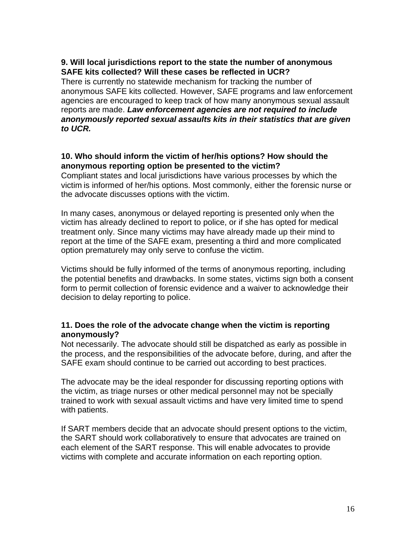## **9. Will local jurisdictions report to the state the number of anonymous SAFE kits collected? Will these cases be reflected in UCR?**

There is currently no statewide mechanism for tracking the number of anonymous SAFE kits collected. However, SAFE programs and law enforcement agencies are encouraged to keep track of how many anonymous sexual assault reports are made. *Law enforcement agencies are not required to include anonymously reported sexual assaults kits in their statistics that are given to UCR.* 

## **10. Who should inform the victim of her/his options? How should the anonymous reporting option be presented to the victim?**

Compliant states and local jurisdictions have various processes by which the victim is informed of her/his options. Most commonly, either the forensic nurse or the advocate discusses options with the victim.

In many cases, anonymous or delayed reporting is presented only when the victim has already declined to report to police, or if she has opted for medical treatment only. Since many victims may have already made up their mind to report at the time of the SAFE exam, presenting a third and more complicated option prematurely may only serve to confuse the victim.

Victims should be fully informed of the terms of anonymous reporting, including the potential benefits and drawbacks. In some states, victims sign both a consent form to permit collection of forensic evidence and a waiver to acknowledge their decision to delay reporting to police.

## **11. Does the role of the advocate change when the victim is reporting anonymously?**

Not necessarily. The advocate should still be dispatched as early as possible in the process, and the responsibilities of the advocate before, during, and after the SAFE exam should continue to be carried out according to best practices.

The advocate may be the ideal responder for discussing reporting options with the victim, as triage nurses or other medical personnel may not be specially trained to work with sexual assault victims and have very limited time to spend with patients.

If SART members decide that an advocate should present options to the victim, the SART should work collaboratively to ensure that advocates are trained on each element of the SART response. This will enable advocates to provide victims with complete and accurate information on each reporting option.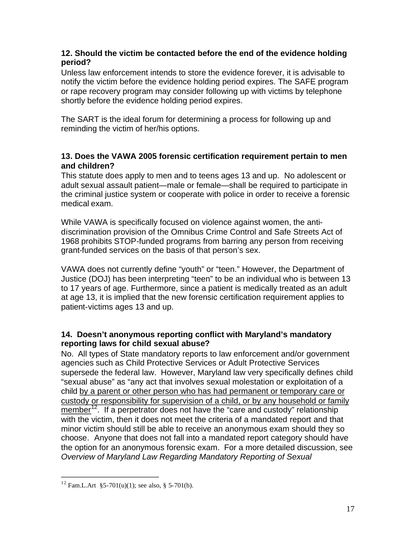## **12. Should the victim be contacted before the end of the evidence holding period?**

Unless law enforcement intends to store the evidence forever, it is advisable to notify the victim before the evidence holding period expires. The SAFE program or rape recovery program may consider following up with victims by telephone shortly before the evidence holding period expires.

The SART is the ideal forum for determining a process for following up and reminding the victim of her/his options.

## **13. Does the VAWA 2005 forensic certification requirement pertain to men and children?**

This statute does apply to men and to teens ages 13 and up. No adolescent or adult sexual assault patient—male or female—shall be required to participate in the criminal justice system or cooperate with police in order to receive a forensic medical exam.

While VAWA is specifically focused on violence against women, the antidiscrimination provision of the Omnibus Crime Control and Safe Streets Act of 1968 prohibits STOP-funded programs from barring any person from receiving grant-funded services on the basis of that person's sex.

VAWA does not currently define "youth" or "teen." However, the Department of Justice (DOJ) has been interpreting "teen" to be an individual who is between 13 to 17 years of age. Furthermore, since a patient is medically treated as an adult at age 13, it is implied that the new forensic certification requirement applies to patient-victims ages 13 and up.

## **14. Doesn't anonymous reporting conflict with Maryland's mandatory reporting laws for child sexual abuse?**

No. All types of State mandatory reports to law enforcement and/or government agencies such as Child Protective Services or Adult Protective Services supersede the federal law. However, Maryland law very specifically defines child "sexual abuse" as "any act that involves sexual molestation or exploitation of a child by a parent or other person who has had permanent or temporary care or custody or responsibility for supervision of a child, or by any household or family member<sup>12</sup>. If a perpetrator does not have the "care and custody" relationship with the victim, then it does not meet the criteria of a mandated report and that minor victim should still be able to receive an anonymous exam should they so choose. Anyone that does not fall into a mandated report category should have the option for an anonymous forensic exam. For a more detailed discussion, see *Overview of Maryland Law Regarding Mandatory Reporting of Sexual* 

<sup>&</sup>lt;sup>12</sup> Fam.L.Art §5-701(u)(1); see also, § 5-701(b).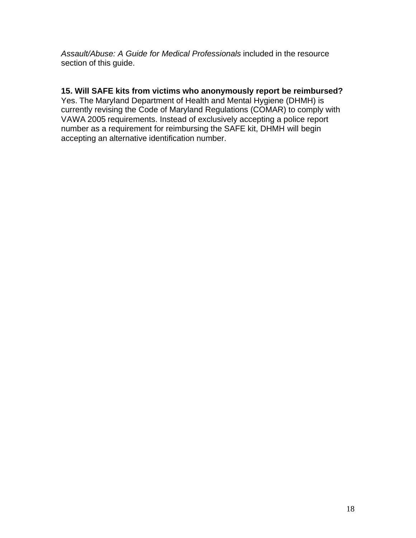*Assault/Abuse: A Guide for Medical Professionals* included in the resource section of this guide.

## **15. Will SAFE kits from victims who anonymously report be reimbursed?**

Yes. The Maryland Department of Health and Mental Hygiene (DHMH) is currently revising the Code of Maryland Regulations (COMAR) to comply with VAWA 2005 requirements. Instead of exclusively accepting a police report number as a requirement for reimbursing the SAFE kit, DHMH will begin accepting an alternative identification number.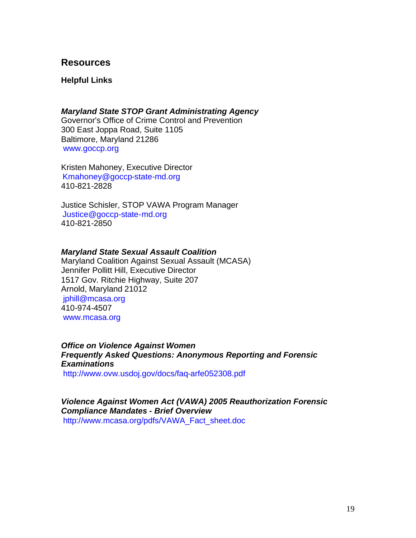## <span id="page-18-0"></span>**Resources**

**Helpful Links** 

*Maryland State STOP Grant Administrating Agency* Governor's Office of Crime Control and Prevention 300 East Joppa Road, Suite 1105 Baltimore, Maryland 21286 [www.goccp.org](http://www.goccp.org/)

Kristen Mahoney, Executive Director Kmahoney@goccp-state-md.org 410-821-2828

Justice Schisler, STOP VAWA Program Manager Justice@goccp-state-md.org 410-821-2850

#### *Maryland State Sexual Assault Coalition*

Maryland Coalition Against Sexual Assault (MCASA) Jennifer Pollitt Hill, Executive Director 1517 Gov. Ritchie Highway, Suite 207 Arnold, Maryland 21012 jphill@mcasa.org 410-974-4507 [www.mcasa.org](http://www.mcasa.org/) 

*Office on Violence Against Women Frequently Asked Questions: Anonymous Reporting and Forensic Examinations* 

<http://www.ovw.usdoj.gov/docs/faq-arfe052308.pdf>

*Violence Against Women Act (VAWA) 2005 Reauthorization Forensic Compliance Mandates - Brief Overview*  [http://www.mcasa.org/pdfs/VAWA\\_Fact\\_sheet.doc](http://www.mcasa.org/pdfs/VAWA_Fact_sheet.doc)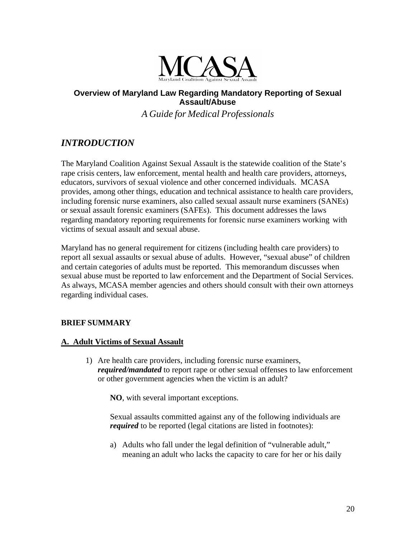

## <span id="page-19-0"></span>**Overview of Maryland Law Regarding Mandatory Reporting of Sexual Assault/Abuse**

*A Guide for Medical Professionals* 

# *INTRODUCTION*

The Maryland Coalition Against Sexual Assault is the statewide coalition of the State's rape crisis centers, law enforcement, mental health and health care providers, attorneys, educators, survivors of sexual violence and other concerned individuals. MCASA provides, among other things, education and technical assistance to health care providers, including forensic nurse examiners, also called sexual assault nurse examiners (SANEs) or sexual assault forensic examiners (SAFEs). This document addresses the laws regarding mandatory reporting requirements for forensic nurse examiners working with victims of sexual assault and sexual abuse.

Maryland has no general requirement for citizens (including health care providers) to report all sexual assaults or sexual abuse of adults. However, "sexual abuse" of children and certain categories of adults must be reported. This memorandum discusses when sexual abuse must be reported to law enforcement and the Department of Social Services. As always, MCASA member agencies and others should consult with their own attorneys regarding individual cases.

## **BRIEF SUMMARY**

## **A. Adult Victims of Sexual Assault**

1) Are health care providers, including forensic nurse examiners, *required/mandated* to report rape or other sexual offenses to law enforcement or other government agencies when the victim is an adult?

**NO**, with several important exceptions.

Sexual assaults committed against any of the following individuals are *required* to be reported (legal citations are listed in footnotes):

a) Adults who fall under the legal definition of "vulnerable adult," meaning an adult who lacks the capacity to care for her or his daily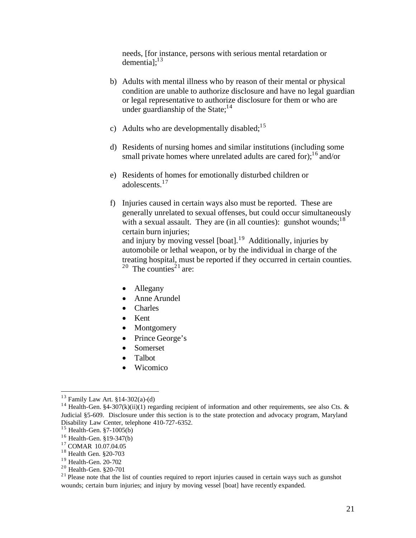needs, [for instance, persons with serious mental retardation or dementia]; $^{13}$ 

- b) Adults with mental illness who by reason of their mental or physical condition are unable to authorize disclosure and have no legal guardian or legal representative to authorize disclosure for them or who are under guardianship of the State: $14$
- c) Adults who are developmentally disabled;<sup>15</sup>
- d) Residents of nursing homes and similar institutions (including some small private homes where unrelated adults are cared for);  $\frac{1}{6}$  and/or
- e) Residents of homes for emotionally disturbed children or adolescents.<sup>17</sup>
- f) Injuries caused in certain ways also must be reported. These are generally unrelated to sexual offenses, but could occur simultaneously with a sexual assault. They are (in all counties): gunshot wounds;  $18$ certain burn injuries; and injury by moving vessel  $[boat]$ <sup>19</sup> Additionally, injuries by automobile or lethal weapon, or by the individual in charge of the treating hospital, must be reported if they occurred in certain counties. <sup>20</sup> The counties<sup>21</sup> are:
	- Allegany
	- Anne Arundel
	- · Charles
	- · Kent
	- **Montgomery**
	- Prince George's
	- · Somerset
	- Talbot
	- · Wicomico

 $13$  Family Law Art. §14-302(a)-(d)

<sup>&</sup>lt;sup>14</sup> Health-Gen. §4-307(k)(ii)(1) regarding recipient of information and other requirements, see also Cts. & Judicial §5-609. Disclosure under this section is to the state protection and advocacy program, Maryland Disability Law Center, telephone 410-727-6352.

 $15$  Health-Gen. §7-1005(b)

<sup>16</sup> Health-Gen. §19-347(b)

<sup>17</sup> COMAR 10.07.04.05

<sup>18</sup> Health Gen. §20-703

<sup>19</sup> Health-Gen. 20-702

<sup>20</sup> Health-Gen. §20-701

 $21$  Please note that the list of counties required to report injuries caused in certain ways such as gunshot wounds; certain burn injuries; and injury by moving vessel [boat] have recently expanded.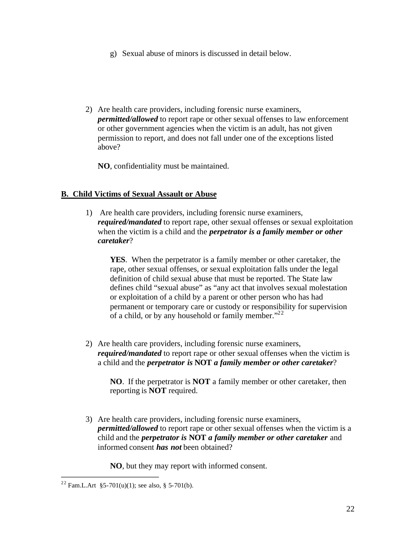- g) Sexual abuse of minors is discussed in detail below.
- 2) Are health care providers, including forensic nurse examiners, *permitted/allowed* to report rape or other sexual offenses to law enforcement or other government agencies when the victim is an adult, has not given permission to report, and does not fall under one of the exceptions listed above?

**NO**, confidentiality must be maintained.

## **B. Child Victims of Sexual Assault or Abuse**

1) Are health care providers, including forensic nurse examiners, *required/mandated* to report rape, other sexual offenses or sexual exploitation when the victim is a child and the *perpetrator is a family member or other caretaker*?

**YES**. When the perpetrator is a family member or other caretaker, the rape, other sexual offenses, or sexual exploitation falls under the legal definition of child sexual abuse that must be reported. The State law defines child "sexual abuse" as "any act that involves sexual molestation or exploitation of a child by a parent or other person who has had permanent or temporary care or custody or responsibility for supervision of a child, or by any household or family member."<sup>22</sup>

2) Are health care providers, including forensic nurse examiners, *required/mandated* to report rape or other sexual offenses when the victim is a child and the *perpetrator is* **NOT** *a family member or other caretaker*?

**NO**. If the perpetrator is **NOT** a family member or other caretaker, then reporting is **NOT** required.

3) Are health care providers, including forensic nurse examiners, *permitted/allowed* to report rape or other sexual offenses when the victim is a child and the *perpetrator is* **NOT** *a family member or other caretaker* and informed consent *has not* been obtained?

**NO**, but they may report with informed consent.

<sup>&</sup>lt;sup>22</sup> Fam.L.Art §5-701(u)(1); see also, § 5-701(b).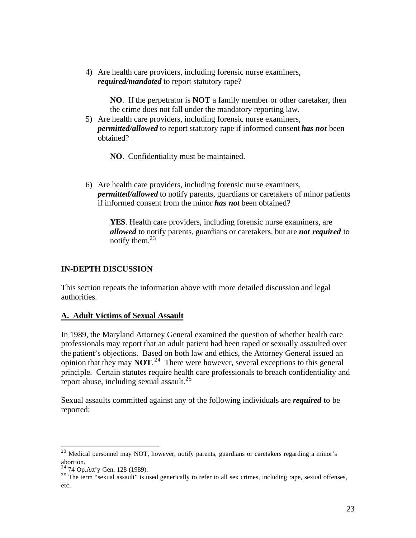4) Are health care providers, including forensic nurse examiners, *required/mandated* to report statutory rape?

> **NO**. If the perpetrator is **NOT** a family member or other caretaker, then the crime does not fall under the mandatory reporting law.

5) Are health care providers, including forensic nurse examiners, *permitted/allowed* to report statutory rape if informed consent *has not* been obtained?

**NO**. Confidentiality must be maintained.

6) Are health care providers, including forensic nurse examiners, *permitted/allowed* to notify parents, guardians or caretakers of minor patients if informed consent from the minor *has not* been obtained?

**YES**. Health care providers, including forensic nurse examiners, are *allowed* to notify parents, guardians or caretakers, but are *not required* to notify them.<sup>23</sup>

#### **IN-DEPTH DISCUSSION**

This section repeats the information above with more detailed discussion and legal authorities.

#### **A. Adult Victims of Sexual Assault**

In 1989, the Maryland Attorney General examined the question of whether health care professionals may report that an adult patient had been raped or sexually assaulted over the patient's objections. Based on both law and ethics, the Attorney General issued an opinion that they may **NOT**. 24 There were however, several exceptions to this general principle. Certain statutes require health care professionals to breach confidentiality and report abuse, including sexual assault. $^{25}$ 

Sexual assaults committed against any of the following individuals are *required* to be reported:

<sup>&</sup>lt;sup>23</sup> Medical personnel may NOT, however, notify parents, guardians or caretakers regarding a minor's abortion.

<sup>24 74</sup> Op.Att'y Gen. 128 (1989).

 $25$  The term "sexual assault" is used generically to refer to all sex crimes, including rape, sexual offenses, etc.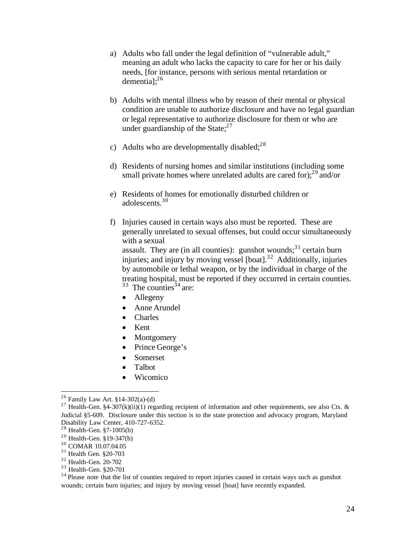- a) Adults who fall under the legal definition of "vulnerable adult," meaning an adult who lacks the capacity to care for her or his daily needs, [for instance, persons with serious mental retardation or demential; $^{26}$
- b) Adults with mental illness who by reason of their mental or physical condition are unable to authorize disclosure and have no legal guardian or legal representative to authorize disclosure for them or who are under guardianship of the State; $^{27}$
- c) Adults who are developmentally disabled;  $28$
- d) Residents of nursing homes and similar institutions (including some small private homes where unrelated adults are cared for $;^{29}$  and/or
- e) Residents of homes for emotionally disturbed children or adolescents.<sup>30</sup>
- f) Injuries caused in certain ways also must be reported. These are generally unrelated to sexual offenses, but could occur simultaneously with a sexual assault. They are (in all counties): gunshot wounds; $31$  certain burn injuries; and injury by moving vessel [boat].<sup>32</sup> Additionally, injuries by automobile or lethal weapon, or by the individual in charge of the treating hospital, must be reported if they occurred in certain counties.  $33$  The counties<sup>34</sup> are:
	-
	- Allegeny
	- Anne Arundel
	- · Charles
	- · Kent
	- **Montgomery**
	- Prince George's
	- Somerset
	- · Talbot
	- **Wicomico**

31 Health Gen. §20-703

33 Health-Gen. §20-701

<sup>34</sup> Please note that the list of counties required to report injuries caused in certain ways such as gunshot wounds; certain burn injuries; and injury by moving vessel [boat] have recently expanded.

<sup>&</sup>lt;sup>26</sup> Family Law Art.  $$14-302(a)-(d)$ 

<sup>&</sup>lt;sup>27</sup> Health-Gen. §4-307(k)(ii)(1) regarding recipient of information and other requirements, see also Cts. & Judicial §5-609. Disclosure under this section is to the state protection and advocacy program, Maryland Disability Law Center, 410-727-6352.

<sup>28</sup> Health-Gen. §7-1005(b)

 $29$  Health-Gen.  $\S 19-347(b)$ 

<sup>30</sup> COMAR 10.07.04.05

<sup>32</sup> Health-Gen. 20-702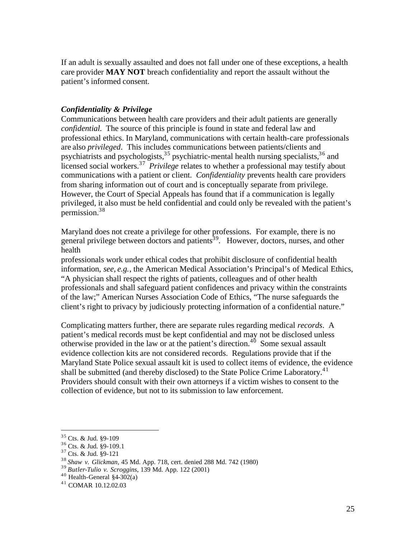If an adult is sexually assaulted and does not fall under one of these exceptions, a health care provider **MAY NOT** breach confidentiality and report the assault without the patient's informed consent.

#### *Confidentiality & Privilege*

Communications between health care providers and their adult patients are generally *confidential*. The source of this principle is found in state and federal law and professional ethics. In Maryland, communications with certain health-care professionals are also *privileged*. This includes communications between patients/clients and psychiatrists and psychologists,  $35$  psychiatric-mental health nursing specialists,  $36$  and licensed social workers.<sup>37</sup>*Privilege* relates to whether a professional may testify about communications with a patient or client. *Confidentiality* prevents health care providers from sharing information out of court and is conceptually separate from privilege. However, the Court of Special Appeals has found that if a communication is legally privileged, it also must be held confidential and could only be revealed with the patient's permission.38

Maryland does not create a privilege for other professions. For example, there is no general privilege between doctors and patients<sup>39</sup>. However, doctors, nurses, and other health

professionals work under ethical codes that prohibit disclosure of confidential health information, *see, e.g.*, the American Medical Association's Principal's of Medical Ethics, "A physician shall respect the rights of patients, colleagues and of other health professionals and shall safeguard patient confidences and privacy within the constraints of the law;" American Nurses Association Code of Ethics, "The nurse safeguards the client's right to privacy by judiciously protecting information of a confidential nature."

Complicating matters further, there are separate rules regarding medical *records*. A patient's medical records must be kept confidential and may not be disclosed unless otherwise provided in the law or at the patient's direction.<sup>40</sup> Some sexual assault evidence collection kits are not considered records. Regulations provide that if the Maryland State Police sexual assault kit is used to collect items of evidence, the evidence shall be submitted (and thereby disclosed) to the State Police Crime Laboratory.<sup>41</sup> Providers should consult with their own attorneys if a victim wishes to consent to the collection of evidence, but not to its submission to law enforcement.

<sup>35</sup> Cts. & Jud. §9-109

<sup>36</sup> Cts. & Jud. §9-109.1

<sup>37</sup> Cts. & Jud. §9-121

<sup>38</sup>*Shaw v. Glickman*, 45 Md. App. 718, cert. denied 288 Md. 742 (1980)

<sup>39</sup>*Butler-Tulio v. Scroggins*, 139 Md. App. 122 (2001)

 $40$  Health-General §4-302(a)

<sup>41</sup> COMAR 10.12.02.03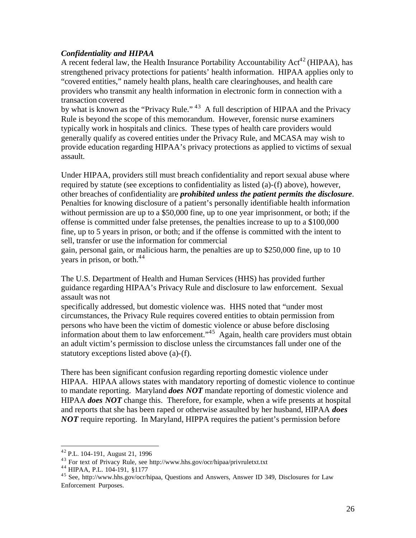#### *Confidentiality and HIPAA*

A recent federal law, the Health Insurance Portability Accountability  $Act^{42}$  (HIPAA), has strengthened privacy protections for patients' health information. HIPAA applies only to "covered entities," namely health plans, health care clearinghouses, and health care providers who transmit any health information in electronic form in connection with a transaction covered

by what is known as the "Privacy Rule." 43 A full description of HIPAA and the Privacy Rule is beyond the scope of this memorandum. However, forensic nurse examiners typically work in hospitals and clinics. These types of health care providers would generally qualify as covered entities under the Privacy Rule, and MCASA may wish to provide education regarding HIPAA's privacy protections as applied to victims of sexual assault.

Under HIPAA, providers still must breach confidentiality and report sexual abuse where required by statute (see exceptions to confidentiality as listed (a)-(f) above), however, other breaches of confidentiality are *prohibited unless the patient permits the disclosure*. Penalties for knowing disclosure of a patient's personally identifiable health information without permission are up to a \$50,000 fine, up to one year imprisonment, or both; if the offense is committed under false pretenses, the penalties increase to up to a \$100,000 fine, up to 5 years in prison, or both; and if the offense is committed with the intent to sell, transfer or use the information for commercial

gain, personal gain, or malicious harm, the penalties are up to \$250,000 fine, up to 10 vears in prison, or both. $44$ 

The U.S. Department of Health and Human Services (HHS) has provided further guidance regarding HIPAA's Privacy Rule and disclosure to law enforcement. Sexual assault was not

specifically addressed, but domestic violence was. HHS noted that "under most circumstances, the Privacy Rule requires covered entities to obtain permission from persons who have been the victim of domestic violence or abuse before disclosing information about them to law enforcement." $\frac{45}{4}$  Again, health care providers must obtain an adult victim's permission to disclose unless the circumstances fall under one of the statutory exceptions listed above (a)-(f).

There has been significant confusion regarding reporting domestic violence under HIPAA. HIPAA allows states with mandatory reporting of domestic violence to continue to mandate reporting. Maryland *does NOT* mandate reporting of domestic violence and HIPAA *does NOT* change this. Therefore, for example, when a wife presents at hospital and reports that she has been raped or otherwise assaulted by her husband, HIPAA *does NOT* require reporting. In Maryland, HIPPA requires the patient's permission before

<sup>42</sup> P.L. 104-191, August 21, 1996

<sup>43</sup> For text of Privacy Rule, see http://www.hhs.gov/ocr/hipaa/privruletxt.txt

<sup>44</sup> HIPAA, P.L. 104-191, §1177

<sup>45</sup> See, http://www.hhs.gov/ocr/hipaa, Questions and Answers, Answer ID 349, Disclosures for Law Enforcement Purposes.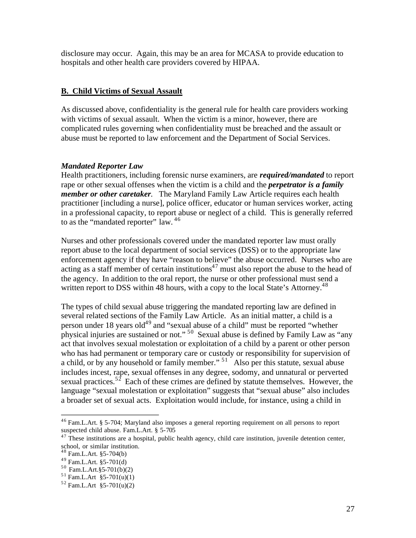disclosure may occur. Again, this may be an area for MCASA to provide education to hospitals and other health care providers covered by HIPAA.

#### **B. Child Victims of Sexual Assault**

As discussed above, confidentiality is the general rule for health care providers working with victims of sexual assault. When the victim is a minor, however, there are complicated rules governing when confidentiality must be breached and the assault or abuse must be reported to law enforcement and the Department of Social Services.

#### *Mandated Reporter Law*

Health practitioners, including forensic nurse examiners, are *required/mandated* to report rape or other sexual offenses when the victim is a child and the *perpetrator is a family member or other caretaker*. The Maryland Family Law Article requires each health practitioner [including a nurse], police officer, educator or human services worker, acting in a professional capacity, to report abuse or neglect of a child. This is generally referred to as the "mandated reporter" law. <sup>46</sup>

Nurses and other professionals covered under the mandated reporter law must orally report abuse to the local department of social services (DSS) or to the appropriate law enforcement agency if they have "reason to believe" the abuse occurred. Nurses who are acting as a staff member of certain institutions<sup>47</sup> must also report the abuse to the head of the agency. In addition to the oral report, the nurse or other professional must send a written report to DSS within 48 hours, with a copy to the local State's Attorney.<sup>48</sup>

The types of child sexual abuse triggering the mandated reporting law are defined in several related sections of the Family Law Article. As an initial matter, a child is a person under 18 years old<sup>49</sup> and "sexual abuse of a child" must be reported "whether physical injuries are sustained or not." 50 Sexual abuse is defined by Family Law as "any act that involves sexual molestation or exploitation of a child by a parent or other person who has had permanent or temporary care or custody or responsibility for supervision of a child, or by any household or family member."  $51^\circ$  Also per this statute, sexual abuse includes incest, rape, sexual offenses in any degree, sodomy, and unnatural or perverted sexual practices.<sup>52</sup> Each of these crimes are defined by statute themselves. However, the language "sexual molestation or exploitation" suggests that "sexual abuse" also includes a broader set of sexual acts. Exploitation would include, for instance, using a child in

<sup>46</sup> Fam.L.Art. § 5-704; Maryland also imposes a general reporting requirement on all persons to report suspected child abuse. Fam.L.Art. § 5-705

 $47$  These institutions are a hospital, public health agency, child care institution, juvenile detention center, school, or similar institution.

<sup>48</sup> Fam.L.Art. §5-704(b)

<sup>49</sup> Fam.L.Art. §5-701(d)

 $50$  Fam.L.Art.§5-701(b)(2)

 $51$  Fam.L.Art §5-701(u)(1)

 $52$  Fam.L.Art §5-701(u)(2)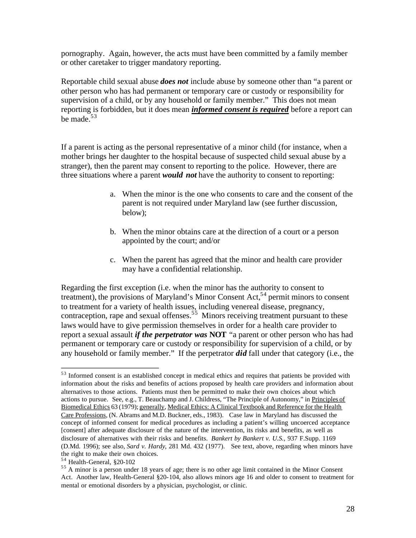pornography. Again, however, the acts must have been committed by a family member or other caretaker to trigger mandatory reporting.

Reportable child sexual abuse *does not* include abuse by someone other than "a parent or other person who has had permanent or temporary care or custody or responsibility for supervision of a child, or by any household or family member." This does not mean reporting is forbidden, but it does mean *informed consent is required* before a report can be made.<sup>53</sup>

If a parent is acting as the personal representative of a minor child (for instance, when a mother brings her daughter to the hospital because of suspected child sexual abuse by a stranger), then the parent may consent to reporting to the police. However, there are three situations where a parent *would not* have the authority to consent to reporting:

- a. When the minor is the one who consents to care and the consent of the parent is not required under Maryland law (see further discussion, below);
- b. When the minor obtains care at the direction of a court or a person appointed by the court; and/or
- c. When the parent has agreed that the minor and health care provider may have a confidential relationship.

Regarding the first exception (i.e. when the minor has the authority to consent to treatment), the provisions of Maryland's Minor Consent Act,  $54$  permit minors to consent to treatment for a variety of health issues, including venereal disease, pregnancy, contraception, rape and sexual offenses.<sup>55</sup> Minors receiving treatment pursuant to these laws would have to give permission themselves in order for a health care provider to report a sexual assault *if the perpetrator was* **NOT** "a parent or other person who has had permanent or temporary care or custody or responsibility for supervision of a child, or by any household or family member." If the perpetrator *did* fall under that category (i.e., the

<sup>&</sup>lt;sup>53</sup> Informed consent is an established concept in medical ethics and requires that patients be provided with information about the risks and benefits of actions proposed by health care providers and information about alternatives to those actions. Patients must then be permitted to make their own choices about which actions to pursue. See, e.g., T. Beauchamp and J. Childress, "The Principle of Autonomy," in Principles of Biomedical Ethics 63 (1979); generally, Medical Ethics: A Clinical Textbook and Reference for the Health Care Professions, (N. Abrams and M.D. Buckner, eds., 1983). Case law in Maryland has discussed the concept of informed consent for medical procedures as including a patient's willing uncoerced acceptance [consent] after adequate disclosure of the nature of the intervention, its risks and benefits, as well as disclosure of alternatives with their risks and benefits. *Bankert by Bankert v. U.S.*, 937 F.Supp. 1169 (D.Md. 1996); see also, *Sard v. Hardy*, 281 Md. 432 (1977). See text, above, regarding when minors have the right to make their own choices.

<sup>54</sup> Health-General, §20-102

<sup>&</sup>lt;sup>55</sup> A minor is a person under 18 years of age; there is no other age limit contained in the Minor Consent Act. Another law, Health-General §20-104, also allows minors age 16 and older to consent to treatment for mental or emotional disorders by a physician, psychologist, or clinic.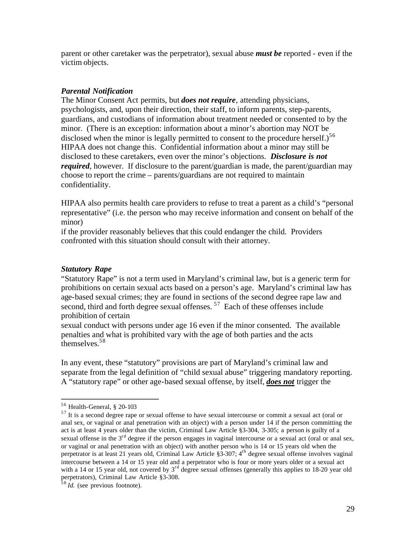parent or other caretaker was the perpetrator), sexual abuse *must be* reported - even if the victim objects.

#### *Parental Notification*

The Minor Consent Act permits, but *does not require*, attending physicians, psychologists, and, upon their direction, their staff, to inform parents, step-parents, guardians, and custodians of information about treatment needed or consented to by the minor. (There is an exception: information about a minor's abortion may NOT be disclosed when the minor is legally permitted to consent to the procedure herself.)<sup>56</sup> HIPAA does not change this. Confidential information about a minor may still be disclosed to these caretakers, even over the minor's objections. *Disclosure is not required*, however. If disclosure to the parent/guardian is made, the parent/guardian may choose to report the crime – parents/guardians are not required to maintain confidentiality.

HIPAA also permits health care providers to refuse to treat a parent as a child's "personal representative" (i.e. the person who may receive information and consent on behalf of the minor)

if the provider reasonably believes that this could endanger the child. Providers confronted with this situation should consult with their attorney.

#### *Statutory Rape*

"Statutory Rape" is not a term used in Maryland's criminal law, but is a generic term for prohibitions on certain sexual acts based on a person's age. Maryland's criminal law has age-based sexual crimes; they are found in sections of the second degree rape law and second, third and forth degree sexual offenses.  $57$  Each of these offenses include prohibition of certain

sexual conduct with persons under age 16 even if the minor consented. The available penalties and what is prohibited vary with the age of both parties and the acts themselves.58

In any event, these "statutory" provisions are part of Maryland's criminal law and separate from the legal definition of "child sexual abuse" triggering mandatory reporting. A "statutory rape" or other age-based sexual offense, by itself, *does not* trigger the

<sup>56</sup> Health-General, § 20-103

 $57$  It is a second degree rape or sexual offense to have sexual intercourse or commit a sexual act (oral or anal sex, or vaginal or anal penetration with an object) with a person under 14 if the person committing the act is at least 4 years older than the victim, Criminal Law Article §3-304, 3-305; a person is guilty of a sexual offense in the  $3<sup>rd</sup>$  degree if the person engages in vaginal intercourse or a sexual act (oral or anal sex, or vaginal or anal penetration with an object) with another person who is 14 or 15 years old when the perpetrator is at least 21 years old, Criminal Law Article §3-307; 4th degree sexual offense involves vaginal intercourse between a 14 or 15 year old and a perpetrator who is four or more years older or a sexual act with a 14 or 15 year old, not covered by  $3<sup>rd</sup>$  degree sexual offenses (generally this applies to 18-20 year old perpetrators), Criminal Law Article §3-308.

<sup>58</sup>*Id.* (see previous footnote).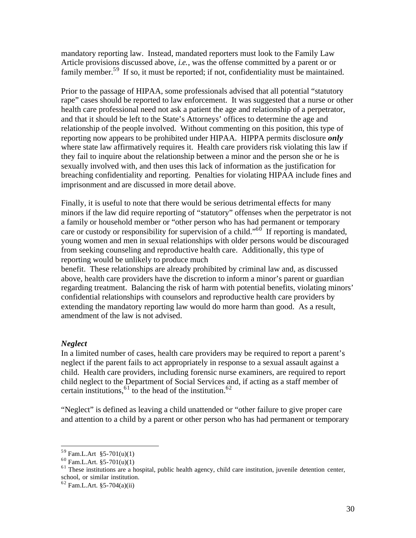mandatory reporting law. Instead, mandated reporters must look to the Family Law Article provisions discussed above, *i.e.*, was the offense committed by a parent or or family member.<sup>59</sup> If so, it must be reported; if not, confidentiality must be maintained.

Prior to the passage of HIPAA, some professionals advised that all potential "statutory rape" cases should be reported to law enforcement. It was suggested that a nurse or other health care professional need not ask a patient the age and relationship of a perpetrator, and that it should be left to the State's Attorneys' offices to determine the age and relationship of the people involved. Without commenting on this position, this type of reporting now appears to be prohibited under HIPAA. HIPPA permits disclosure *only*  where state law affirmatively requires it. Health care providers risk violating this law if they fail to inquire about the relationship between a minor and the person she or he is sexually involved with, and then uses this lack of information as the justification for breaching confidentiality and reporting. Penalties for violating HIPAA include fines and imprisonment and are discussed in more detail above.

Finally, it is useful to note that there would be serious detrimental effects for many minors if the law did require reporting of "statutory" offenses when the perpetrator is not a family or household member or "other person who has had permanent or temporary care or custody or responsibility for supervision of a child."<sup>60</sup> If reporting is mandated, young women and men in sexual relationships with older persons would be discouraged from seeking counseling and reproductive health care. Additionally, this type of reporting would be unlikely to produce much

benefit. These relationships are already prohibited by criminal law and, as discussed above, health care providers have the discretion to inform a minor's parent or guardian regarding treatment. Balancing the risk of harm with potential benefits, violating minors' confidential relationships with counselors and reproductive health care providers by extending the mandatory reporting law would do more harm than good. As a result, amendment of the law is not advised.

## *Neglect*

In a limited number of cases, health care providers may be required to report a parent's neglect if the parent fails to act appropriately in response to a sexual assault against a child. Health care providers, including forensic nurse examiners, are required to report child neglect to the Department of Social Services and, if acting as a staff member of certain institutions,  $61$  to the head of the institution.  $62$ 

"Neglect" is defined as leaving a child unattended or "other failure to give proper care and attention to a child by a parent or other person who has had permanent or temporary

 $59$  Fam.L.Art §5-701(u)(1)

 $^{60}$  Fam.L.Art. §5-701(u)(1)

<sup>&</sup>lt;sup>61</sup> These institutions are a hospital, public health agency, child care institution, juvenile detention center, school, or similar institution.

 $62$  Fam.L.Art. §5-704(a)(ii)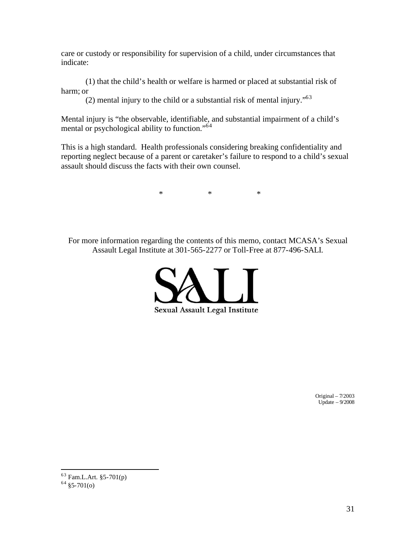care or custody or responsibility for supervision of a child, under circumstances that indicate:

(1) that the child's health or welfare is harmed or placed at substantial risk of harm; or

(2) mental injury to the child or a substantial risk of mental injury."63

Mental injury is "the observable, identifiable, and substantial impairment of a child's mental or psychological ability to function."<sup>64</sup>

This is a high standard. Health professionals considering breaking confidentiality and reporting neglect because of a parent or caretaker's failure to respond to a child's sexual assault should discuss the facts with their own counsel.

 $*$  \* \* \* \*

For more information regarding the contents of this memo, contact MCASA's Sexual Assault Legal Institute at 301-565-2277 or Toll-Free at 877-496-SALI.



Original – 7/2003 Update  $-9/2008$ 

<sup>63</sup> Fam.L.Art. §5-701(p)

 $64 \overline{\$5-701(0)}$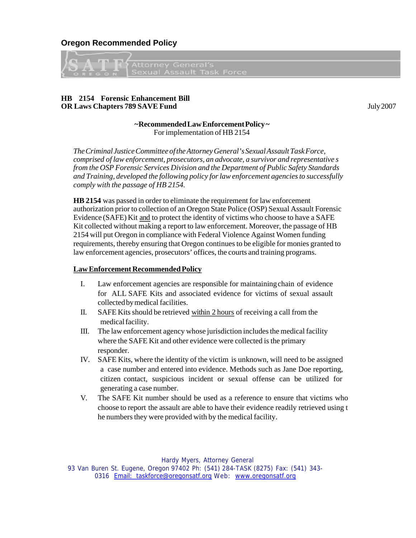<span id="page-31-0"></span>**Oregon Recommended Policy** 



#### **HB 2154 Forensic Enhancement Bill OR Laws Chapters 789 SAVE Fund** July 2007

#### **~Recommended Law Enforcement Policy ~**  For implementation of HB 2154

*The Criminal Justice Committee of the Attorney General's Sexual Assault Task Force, comprised of law enforcement, prosecutors, an advocate, a survivor and representative s from the OSP Forensic Services Division and the Department of Public Safety Standards and Training, developed the following policy for law enforcement agencies to successfully comply with the passage of HB 2154.* 

**HB 2154** was passed in order to eliminate the requirement for law enforcement authorization prior to collection of an Oregon State Police (OSP) Sexual Assault Forensic Evidence (SAFE) Kit and to protect the identity of victims who choose to have a SAFE Kit collected without making a report to law enforcement. Moreover, the passage of HB 2154 will put Oregon in compliance with Federal Violence Against Women funding requirements, thereby ensuring that Oregon continues to be eligible for monies granted to law enforcement agencies, prosecutors' offices, the courts and training programs.

#### **Law Enforcement Recommended Policy**

- I. Law enforcement agencies are responsible for maintaining chain of evidence for ALL SAFE Kits and associated evidence for victims of sexual assault collected by medical facilities.
- II. SAFE Kits should be retrieved within 2 hours of receiving a call from the medical facility.
- III. The law enforcement agency whose jurisdiction includes the medical facility where the SAFE Kit and other evidence were collected is the primary responder.
- IV. SAFE Kits, where the identity of the victim is unknown, will need to be assigned a case number and entered into evidence. Methods such as Jane Doe reporting, citizen contact, suspicious incident or sexual offense can be utilized for generating a case number.
- V. The SAFE Kit number should be used as a reference to ensure that victims who choose to report the assault are able to have their evidence readily retrieved using t he numbers they were provided with by the medical facility.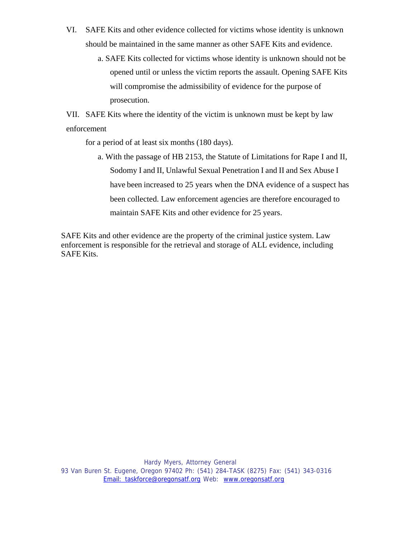- VI. SAFE Kits and other evidence collected for victims whose identity is unknown should be maintained in the same manner as other SAFE Kits and evidence.
	- a. SAFE Kits collected for victims whose identity is unknown should not be opened until or unless the victim reports the assault. Opening SAFE Kits will compromise the admissibility of evidence for the purpose of prosecution.

VII. SAFE Kits where the identity of the victim is unknown must be kept by law enforcement

for a period of at least six months (180 days).

a. With the passage of HB 2153, the Statute of Limitations for Rape I and II, Sodomy I and II, Unlawful Sexual Penetration I and II and Sex Abuse I have been increased to 25 years when the DNA evidence of a suspect has been collected. Law enforcement agencies are therefore encouraged to maintain SAFE Kits and other evidence for 25 years.

SAFE Kits and other evidence are the property of the criminal justice system. Law enforcement is responsible for the retrieval and storage of ALL evidence, including SAFE Kits.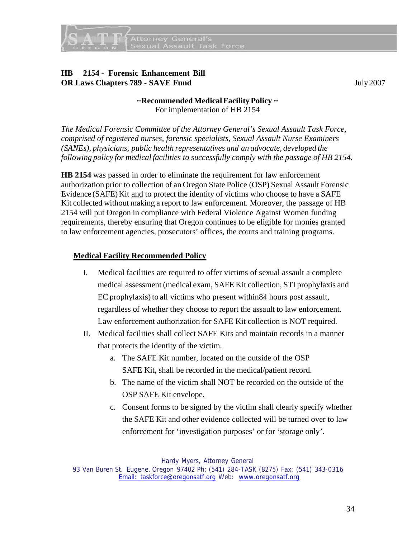

## **HB 2154 - Forensic Enhancement Bill OR Laws Chapters 789 - SAVE Fund** July 2007

## **~Recommended Medical Facility Policy ~**  For implementation of HB 2154

*The Medical Forensic Committee of the Attorney General's Sexual Assault Task Force, comprised of registered nurses, forensic specialists, Sexual Assault Nurse Examiners (SANEs), physicians, public health representatives and an advocate, developed the following policy for medical facilities to successfully comply with the passage of HB 2154.* 

**HB 2154** was passed in order to eliminate the requirement for law enforcement authorization prior to collection of an Oregon State Police (OSP) Sexual Assault Forensic Evidence (SAFE) Kit and to protect the identity of victims who choose to have a SAFE Kit collected without making a report to law enforcement. Moreover, the passage of HB 2154 will put Oregon in compliance with Federal Violence Against Women funding requirements, thereby ensuring that Oregon continues to be eligible for monies granted to law enforcement agencies, prosecutors' offices, the courts and training programs.

## **Medical Facility Recommended Policy**

- I. Medical facilities are required to offer victims of sexual assault a complete medical assessment (medical exam, SAFE Kit collection, STI prophylaxis and EC prophylaxis) to all victims who present within84 hours post assault, regardless of whether they choose to report the assault to law enforcement. Law enforcement authorization for SAFE Kit collection is NOT required.
- II. Medical facilities shall collect SAFE Kits and maintain records in a manner that protects the identity of the victim.
	- a. The SAFE Kit number, located on the outside of the OSP SAFE Kit, shall be recorded in the medical/patient record.
	- b. The name of the victim shall NOT be recorded on the outside of the OSP SAFE Kit envelope.
	- c. Consent forms to be signed by the victim shall clearly specify whether the SAFE Kit and other evidence collected will be turned over to law enforcement for 'investigation purposes' or for 'storage only'.

Hardy Myers, Attorney General

93 Van Buren St. Eugene, Oregon 97402 Ph: (541) 284-TASK (8275) Fax: (541) 343-0316 Email: taskforce@oregonsatf.org Web: [www.oregonsatf.org](http://www.oregonsatf.org/)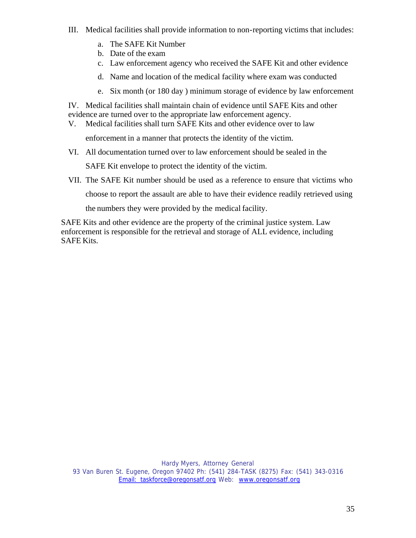- III. Medical facilities shall provide information to non-reporting victims that includes:
	- a. The SAFE Kit Number
	- b. Date of the exam
	- c. Law enforcement agency who received the SAFE Kit and other evidence
	- d. Name and location of the medical facility where exam was conducted
	- e. Six month (or 180 day ) minimum storage of evidence by law enforcement

IV. Medical facilities shall maintain chain of evidence until SAFE Kits and other evidence are turned over to the appropriate law enforcement agency.

V. Medical facilities shall turn SAFE Kits and other evidence over to law

enforcement in a manner that protects the identity of the victim.

VI. All documentation turned over to law enforcement should be sealed in the

SAFE Kit envelope to protect the identity of the victim.

VII. The SAFE Kit number should be used as a reference to ensure that victims who choose to report the assault are able to have their evidence readily retrieved using

the numbers they were provided by the medical facility.

SAFE Kits and other evidence are the property of the criminal justice system. Law enforcement is responsible for the retrieval and storage of ALL evidence, including SAFE Kits.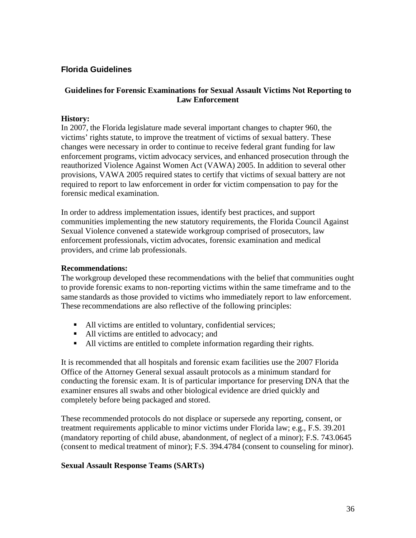## <span id="page-35-0"></span>**Florida Guidelines**

## **Guidelines for Forensic Examinations for Sexual Assault Victims Not Reporting to Law Enforcement**

#### **History:**

In 2007, the Florida legislature made several important changes to chapter 960, the victims' rights statute, to improve the treatment of victims of sexual battery. These changes were necessary in order to continue to receive federal grant funding for law enforcement programs, victim advocacy services, and enhanced prosecution through the reauthorized Violence Against Women Act (VAWA) 2005. In addition to several other provisions, VAWA 2005 required states to certify that victims of sexual battery are not required to report to law enforcement in order for victim compensation to pay for the forensic medical examination.

In order to address implementation issues, identify best practices, and support communities implementing the new statutory requirements, the Florida Council Against Sexual Violence convened a statewide workgroup comprised of prosecutors, law enforcement professionals, victim advocates, forensic examination and medical providers, and crime lab professionals.

#### **Recommendations:**

The workgroup developed these recommendations with the belief that communities ought to provide forensic exams to non-reporting victims within the same timeframe and to the same standards as those provided to victims who immediately report to law enforcement. These recommendations are also reflective of the following principles:

- All victims are entitled to voluntary, confidential services;
- All victims are entitled to advocacy; and
- All victims are entitled to complete information regarding their rights.

It is recommended that all hospitals and forensic exam facilities use the 2007 Florida Office of the Attorney General sexual assault protocols as a minimum standard for conducting the forensic exam. It is of particular importance for preserving DNA that the examiner ensures all swabs and other biological evidence are dried quickly and completely before being packaged and stored.

These recommended protocols do not displace or supersede any reporting, consent, or treatment requirements applicable to minor victims under Florida law; e.g., F.S. 39.201 (mandatory reporting of child abuse, abandonment, of neglect of a minor); F.S. 743.0645 (consent to medical treatment of minor); F.S. 394.4784 (consent to counseling for minor).

#### **Sexual Assault Response Teams (SARTs)**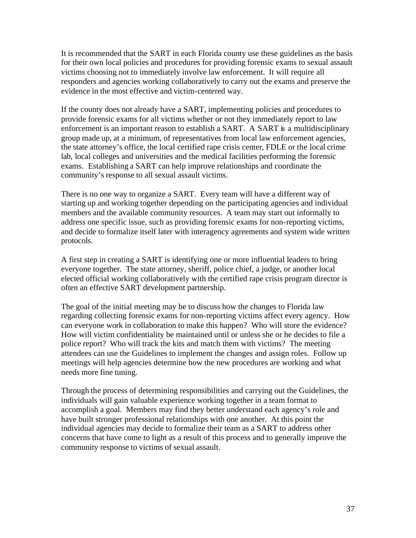It is recommended that the SART in each Florida county use these guidelines as the basis for their own local policies and procedures for providing forensic exams to sexual assault victims choosing not to immediately involve law enforcement. It will require all responders and agencies working collaboratively to carry out the exams and preserve the evidence in the most effective and victim-centered way.

If the county does not already have a SART, implementing policies and procedures to provide forensic exams for all victims whether or not they immediately report to law enforcement is an important reason to establish a SART. A SART is a multidisciplinary group made up, at a minimum, of representatives from local law enforcement agencies, the state attorney's office, the local certified rape crisis center, FDLE or the local crime lab, local colleges and universities and the medical facilities performing the forensic exams. Establishing a SART can help improve relationships and coordinate the community's response to all sexual assault victims.

There is no one way to organize a SART. Every team will have a different way of starting up and working together depending on the participating agencies and individual members and the available community resources. A team may start out informally to address one specific issue, such as providing forensic exams for non-reporting victims, and decide to formalize itself later with interagency agreements and system wide written protocols.

A first step in creating a SART is identifying one or more influential leaders to bring everyone together. The state attorney, sheriff, police chief, a judge, or another local elected official working collaboratively with the certified rape crisis program director is often an effective SART development partnership.

The goal of the initial meeting may be to discuss how the changes to Florida law regarding collecting forensic exams for non-reporting victims affect every agency. How can everyone work in collaboration to make this happen? Who will store the evidence? How will victim confidentiality be maintained until or unless she or he decides to file a police report? Who will track the kits and match them with victims? The meeting attendees can use the Guidelines to implement the changes and assign roles. Follow up meetings will help agencies determine how the new procedures are working and what needs more fine tuning.

Through the process of determining responsibilities and carrying out the Guidelines, the individuals will gain valuable experience working together in a team format to accomplish a goal. Members may find they better understand each agency's role and have built stronger professional relationships with one another. At this point the individual agencies may decide to formalize their team as a SART to address other concerns that have come to light as a result of this process and to generally improve the community response to victims of sexual assault.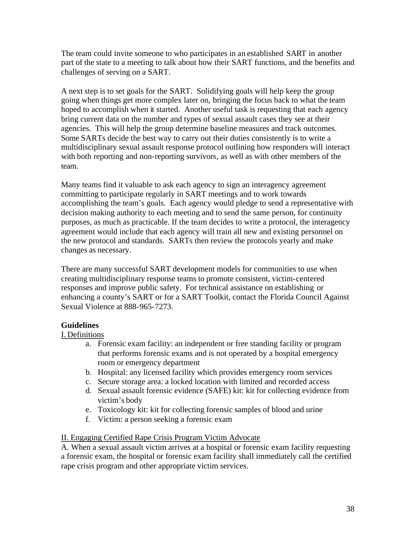The team could invite someone to who participates in an established SART in another part of the state to a meeting to talk about how their SART functions, and the benefits and challenges of serving on a SART.

A next step is to set goals for the SART. Solidifying goals will help keep the group going when things get more complex later on, bringing the focus back to what the team hoped to accomplish when it started. Another useful task is requesting that each agency bring current data on the number and types of sexual assault cases they see at their agencies. This will help the group determine baseline measures and track outcomes. Some SARTs decide the best way to carry out their duties consistently is to write a multidisciplinary sexual assault response protocol outlining how responders will interact with both reporting and non-reporting survivors, as well as with other members of the team.

Many teams find it valuable to ask each agency to sign an interagency agreement committing to participate regularly in SART meetings and to work towards accomplishing the team's goals. Each agency would pledge to send a representative with decision making authority to each meeting and to send the same person, for continuity purposes, as much as practicable. If the team decides to write a protocol, the interagency agreement would include that each agency will train all new and existing personnel on the new protocol and standards. SARTs then review the protocols yearly and make changes as necessary.

There are many successful SART development models for communities to use when creating multidisciplinary response teams to promote consistent, victim-centered responses and improve public safety. For technical assistance on establishing or enhancing a county's SART or for a SART Toolkit, contact the Florida Council Against Sexual Violence at 888-965-7273.

## **Guidelines**

## I. Definitions

- a. Forensic exam facility: an independent or free standing facility or program that performs forensic exams and is not operated by a hospital emergency room or emergency department
- b. Hospital: any licensed facility which provides emergency room services
- c. Secure storage area: a locked location with limited and recorded access
- d. Sexual assault forensic evidence (SAFE) kit: kit for collecting evidence from victim's body
- e. Toxicology kit: kit for collecting forensic samples of blood and urine
- f. Victim: a person seeking a forensic exam

## II. Engaging Certified Rape Crisis Program Victim Advocate

A. When a sexual assault victim arrives at a hospital or forensic exam facility requesting a forensic exam, the hospital or forensic exam facility shall immediately call the certified rape crisis program and other appropriate victim services.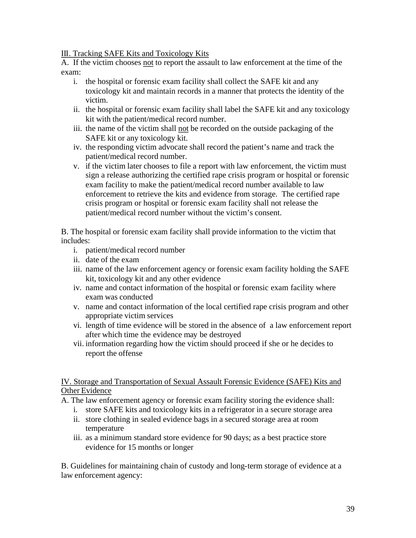III. Tracking SAFE Kits and Toxicology Kits

A. If the victim chooses not to report the assault to law enforcement at the time of the exam:

- i. the hospital or forensic exam facility shall collect the SAFE kit and any toxicology kit and maintain records in a manner that protects the identity of the victim.
- ii. the hospital or forensic exam facility shall label the SAFE kit and any toxicology kit with the patient/medical record number.
- iii. the name of the victim shall not be recorded on the outside packaging of the SAFE kit or any toxicology kit.
- iv. the responding victim advocate shall record the patient's name and track the patient/medical record number.
- v. if the victim later chooses to file a report with law enforcement, the victim must sign a release authorizing the certified rape crisis program or hospital or forensic exam facility to make the patient/medical record number available to law enforcement to retrieve the kits and evidence from storage. The certified rape crisis program or hospital or forensic exam facility shall not release the patient/medical record number without the victim's consent.

B. The hospital or forensic exam facility shall provide information to the victim that includes:

- i. patient/medical record number
- ii. date of the exam
- iii. name of the law enforcement agency or forensic exam facility holding the SAFE kit, toxicology kit and any other evidence
- iv. name and contact information of the hospital or forensic exam facility where exam was conducted
- v. name and contact information of the local certified rape crisis program and other appropriate victim services
- vi. length of time evidence will be stored in the absence of a law enforcement report after which time the evidence may be destroyed
- vii. information regarding how the victim should proceed if she or he decides to report the offense

IV. Storage and Transportation of Sexual Assault Forensic Evidence (SAFE) Kits and Other Evidence

A. The law enforcement agency or forensic exam facility storing the evidence shall:

- i. store SAFE kits and toxicology kits in a refrigerator in a secure storage area
- ii. store clothing in sealed evidence bags in a secured storage area at room temperature
- iii. as a minimum standard store evidence for 90 days; as a best practice store evidence for 15 months or longer

B. Guidelines for maintaining chain of custody and long-term storage of evidence at a law enforcement agency: